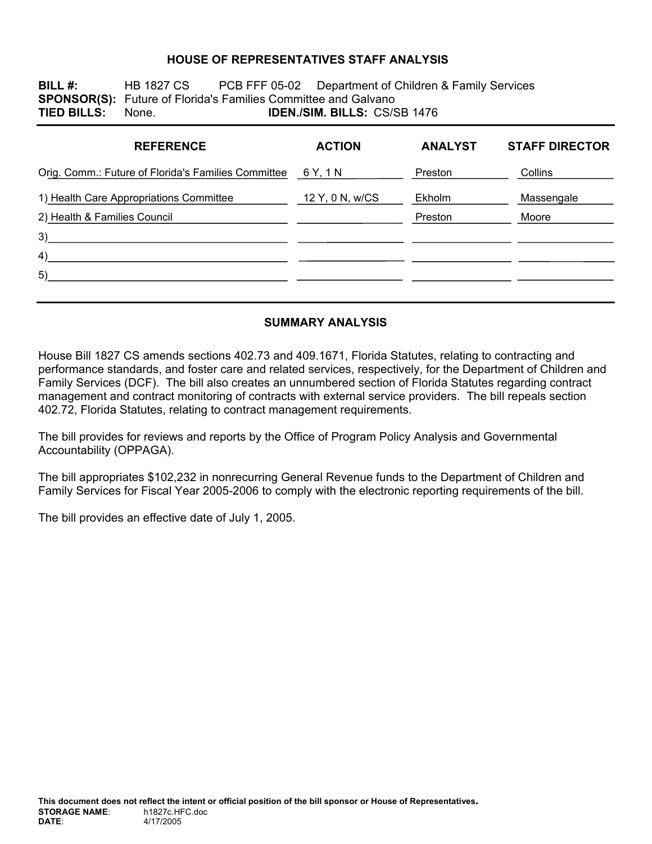### **HOUSE OF REPRESENTATIVES STAFF ANALYSIS**

**BILL #:** HB 1827 CS PCB FFF 05-02 Department of Children & Family Services **SPONSOR(S):** Future of Florida's Families Committee and Galvano **TIED BILLS:** None. **IDEN./SIM. BILLS:** CS/SB 1476

| <b>REFERENCE</b>                                    | <b>ACTION</b>   | <b>ANALYST</b> | <b>STAFF DIRECTOR</b> |
|-----------------------------------------------------|-----------------|----------------|-----------------------|
| Orig. Comm.: Future of Florida's Families Committee | 6 Y, 1 N        | Preston        | Collins               |
| 1) Health Care Appropriations Committee             | 12 Y, 0 N, w/CS | Ekholm         | Massengale            |
| 2) Health & Families Council                        |                 | Preston        | Moore                 |
| 3)                                                  |                 |                |                       |
| 4)                                                  |                 |                |                       |
| 5)                                                  |                 |                |                       |
|                                                     |                 |                |                       |

### **SUMMARY ANALYSIS**

House Bill 1827 CS amends sections 402.73 and 409.1671, Florida Statutes, relating to contracting and performance standards, and foster care and related services, respectively, for the Department of Children and Family Services (DCF). The bill also creates an unnumbered section of Florida Statutes regarding contract management and contract monitoring of contracts with external service providers. The bill repeals section 402.72, Florida Statutes, relating to contract management requirements.

The bill provides for reviews and reports by the Office of Program Policy Analysis and Governmental Accountability (OPPAGA).

The bill appropriates \$102,232 in nonrecurring General Revenue funds to the Department of Children and Family Services for Fiscal Year 2005-2006 to comply with the electronic reporting requirements of the bill.

The bill provides an effective date of July 1, 2005.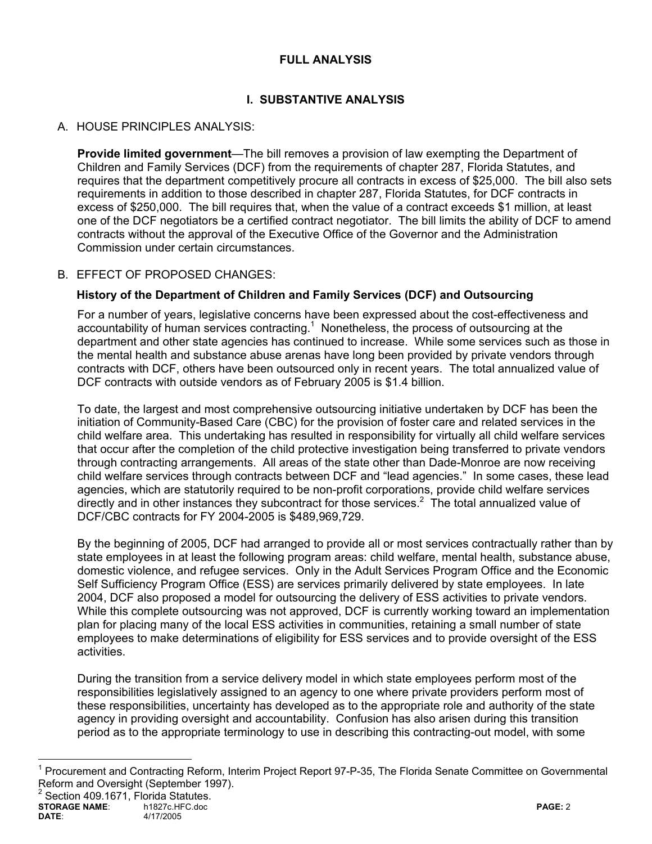### **FULL ANALYSIS**

# **I. SUBSTANTIVE ANALYSIS**

## A. HOUSE PRINCIPLES ANALYSIS:

**Provide limited government**—The bill removes a provision of law exempting the Department of Children and Family Services (DCF) from the requirements of chapter 287, Florida Statutes, and requires that the department competitively procure all contracts in excess of \$25,000. The bill also sets requirements in addition to those described in chapter 287, Florida Statutes, for DCF contracts in excess of \$250,000. The bill requires that, when the value of a contract exceeds \$1 million, at least one of the DCF negotiators be a certified contract negotiator. The bill limits the ability of DCF to amend contracts without the approval of the Executive Office of the Governor and the Administration Commission under certain circumstances.

### B. EFFECT OF PROPOSED CHANGES:

### **History of the Department of Children and Family Services (DCF) and Outsourcing**

For a number of years, legislative concerns have been expressed about the cost-effectiveness and accountability of human services contracting. $<sup>1</sup>$  Nonetheless, the process of outsourcing at the</sup> department and other state agencies has continued to increase. While some services such as those in the mental health and substance abuse arenas have long been provided by private vendors through contracts with DCF, others have been outsourced only in recent years. The total annualized value of DCF contracts with outside vendors as of February 2005 is \$1.4 billion.

To date, the largest and most comprehensive outsourcing initiative undertaken by DCF has been the initiation of Community-Based Care (CBC) for the provision of foster care and related services in the child welfare area. This undertaking has resulted in responsibility for virtually all child welfare services that occur after the completion of the child protective investigation being transferred to private vendors through contracting arrangements. All areas of the state other than Dade-Monroe are now receiving child welfare services through contracts between DCF and "lead agencies." In some cases, these lead agencies, which are statutorily required to be non-profit corporations, provide child welfare services directly and in other instances they subcontract for those services. $2$  The total annualized value of DCF/CBC contracts for FY 2004-2005 is \$489,969,729.

By the beginning of 2005, DCF had arranged to provide all or most services contractually rather than by state employees in at least the following program areas: child welfare, mental health, substance abuse, domestic violence, and refugee services. Only in the Adult Services Program Office and the Economic Self Sufficiency Program Office (ESS) are services primarily delivered by state employees. In late 2004, DCF also proposed a model for outsourcing the delivery of ESS activities to private vendors. While this complete outsourcing was not approved, DCF is currently working toward an implementation plan for placing many of the local ESS activities in communities, retaining a small number of state employees to make determinations of eligibility for ESS services and to provide oversight of the ESS activities.

During the transition from a service delivery model in which state employees perform most of the responsibilities legislatively assigned to an agency to one where private providers perform most of these responsibilities, uncertainty has developed as to the appropriate role and authority of the state agency in providing oversight and accountability. Confusion has also arisen during this transition period as to the appropriate terminology to use in describing this contracting-out model, with some

 $\overline{a}$ 

<sup>&</sup>lt;sup>1</sup> Procurement and Contracting Reform, Interim Project Report 97-P-35, The Florida Senate Committee on Governmental Reform and Oversight (September 1997).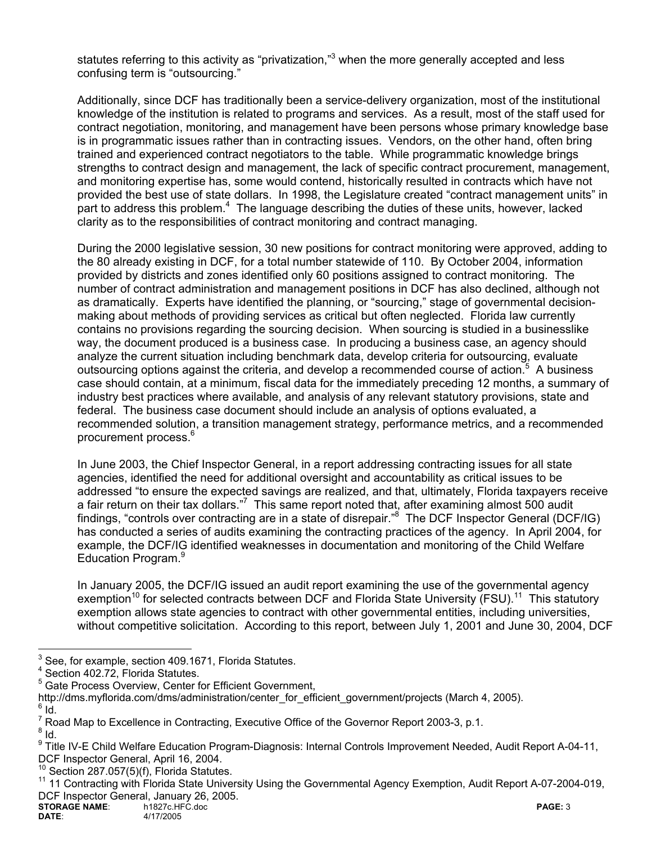statutes referring to this activity as "privatization,"<sup>3</sup> when the more generally accepted and less confusing term is "outsourcing."

Additionally, since DCF has traditionally been a service-delivery organization, most of the institutional knowledge of the institution is related to programs and services. As a result, most of the staff used for contract negotiation, monitoring, and management have been persons whose primary knowledge base is in programmatic issues rather than in contracting issues. Vendors, on the other hand, often bring trained and experienced contract negotiators to the table. While programmatic knowledge brings strengths to contract design and management, the lack of specific contract procurement, management, and monitoring expertise has, some would contend, historically resulted in contracts which have not provided the best use of state dollars. In 1998, the Legislature created "contract management units" in part to address this problem.<sup>4</sup> The language describing the duties of these units, however, lacked clarity as to the responsibilities of contract monitoring and contract managing.

During the 2000 legislative session, 30 new positions for contract monitoring were approved, adding to the 80 already existing in DCF, for a total number statewide of 110. By October 2004, information provided by districts and zones identified only 60 positions assigned to contract monitoring. The number of contract administration and management positions in DCF has also declined, although not as dramatically. Experts have identified the planning, or "sourcing," stage of governmental decisionmaking about methods of providing services as critical but often neglected. Florida law currently contains no provisions regarding the sourcing decision. When sourcing is studied in a businesslike way, the document produced is a business case. In producing a business case, an agency should analyze the current situation including benchmark data, develop criteria for outsourcing, evaluate outsourcing options against the criteria, and develop a recommended course of action.<sup>5</sup> A business case should contain, at a minimum, fiscal data for the immediately preceding 12 months, a summary of industry best practices where available, and analysis of any relevant statutory provisions, state and federal. The business case document should include an analysis of options evaluated, a recommended solution, a transition management strategy, performance metrics, and a recommended procurement process.6

In June 2003, the Chief Inspector General, in a report addressing contracting issues for all state agencies, identified the need for additional oversight and accountability as critical issues to be addressed "to ensure the expected savings are realized, and that, ultimately, Florida taxpayers receive a fair return on their tax dollars."<sup>7</sup> This same report noted that, after examining almost 500 audit findings, "controls over contracting are in a state of disrepair."<sup>8</sup> The DCF Inspector General (DCF/IG) has conducted a series of audits examining the contracting practices of the agency. In April 2004, for example, the DCF/IG identified weaknesses in documentation and monitoring of the Child Welfare Education Program.<sup>9</sup>

In January 2005, the DCF/IG issued an audit report examining the use of the governmental agency exemption<sup>10</sup> for selected contracts between DCF and Florida State University (FSU).<sup>11</sup> This statutory exemption allows state agencies to contract with other governmental entities, including universities, without competitive solicitation. According to this report, between July 1, 2001 and June 30, 2004, DCF

<sup>-&</sup>lt;br>3 See, for example, section 409.1671, Florida Statutes.

<sup>4</sup> Section 402.72, Florida Statutes.

<sup>&</sup>lt;sup>5</sup> Gate Process Overview, Center for Efficient Government,

http://dms.myflorida.com/dms/administration/center\_for\_efficient\_government/projects (March 4, 2005).

 $6$  Id.

 $^7$  Road Map to Excellence in Contracting, Executive Office of the Governor Report 2003-3, p.1.<br><sup>8</sup> Jd

 $8$  Id.

<sup>&</sup>lt;sup>9</sup> Title IV-E Child Welfare Education Program-Diagnosis: Internal Controls Improvement Needed, Audit Report A-04-11, DCF Inspector General, April 16, 2004.

 $\frac{10}{10}$  Section 287.057(5)(f), Florida Statutes.

<sup>11 11</sup> Contracting with Florida State University Using the Governmental Agency Exemption, Audit Report A-07-2004-019, DCF Inspector General, January 26, 2005.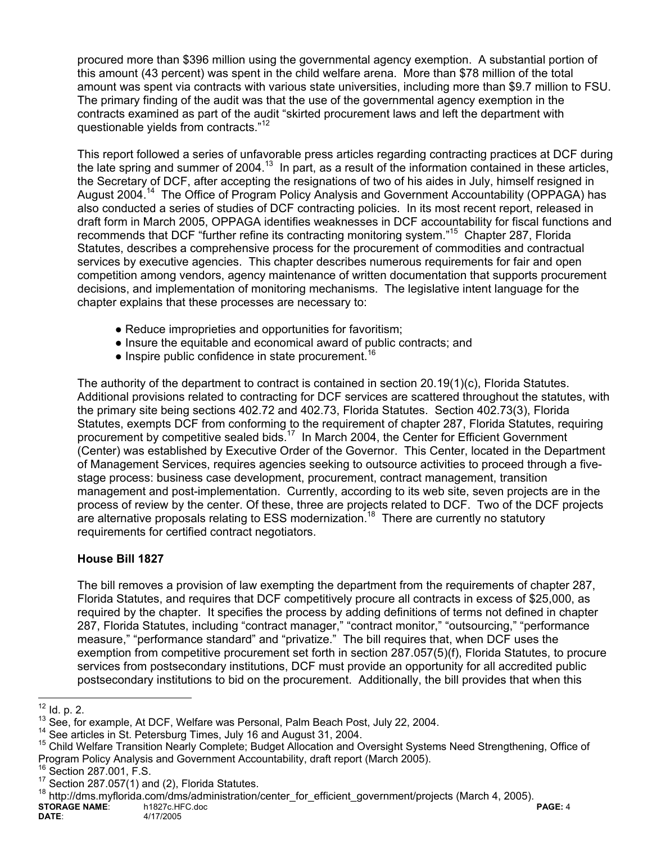procured more than \$396 million using the governmental agency exemption. A substantial portion of this amount (43 percent) was spent in the child welfare arena. More than \$78 million of the total amount was spent via contracts with various state universities, including more than \$9.7 million to FSU. The primary finding of the audit was that the use of the governmental agency exemption in the contracts examined as part of the audit "skirted procurement laws and left the department with questionable yields from contracts."<sup>12</sup>

This report followed a series of unfavorable press articles regarding contracting practices at DCF during the late spring and summer of 2004.<sup>13</sup> In part, as a result of the information contained in these articles, the Secretary of DCF, after accepting the resignations of two of his aides in July, himself resigned in August 2004.14 The Office of Program Policy Analysis and Government Accountability (OPPAGA) has also conducted a series of studies of DCF contracting policies. In its most recent report, released in draft form in March 2005, OPPAGA identifies weaknesses in DCF accountability for fiscal functions and recommends that DCF "further refine its contracting monitoring system."15 Chapter 287, Florida Statutes, describes a comprehensive process for the procurement of commodities and contractual services by executive agencies. This chapter describes numerous requirements for fair and open competition among vendors, agency maintenance of written documentation that supports procurement decisions, and implementation of monitoring mechanisms. The legislative intent language for the chapter explains that these processes are necessary to:

- Reduce improprieties and opportunities for favoritism;
- Insure the equitable and economical award of public contracts; and
- $\bullet$  Inspire public confidence in state procurement.<sup>16</sup>

The authority of the department to contract is contained in section 20.19(1)(c), Florida Statutes. Additional provisions related to contracting for DCF services are scattered throughout the statutes, with the primary site being sections 402.72 and 402.73, Florida Statutes. Section 402.73(3), Florida Statutes, exempts DCF from conforming to the requirement of chapter 287, Florida Statutes, requiring procurement by competitive sealed bids.<sup>17</sup> In March 2004, the Center for Efficient Government (Center) was established by Executive Order of the Governor. This Center, located in the Department of Management Services, requires agencies seeking to outsource activities to proceed through a fivestage process: business case development, procurement, contract management, transition management and post-implementation. Currently, according to its web site, seven projects are in the process of review by the center. Of these, three are projects related to DCF. Two of the DCF projects are alternative proposals relating to ESS modernization.<sup>18</sup> There are currently no statutory requirements for certified contract negotiators.

## **House Bill 1827**

The bill removes a provision of law exempting the department from the requirements of chapter 287, Florida Statutes, and requires that DCF competitively procure all contracts in excess of \$25,000, as required by the chapter. It specifies the process by adding definitions of terms not defined in chapter 287, Florida Statutes, including "contract manager," "contract monitor," "outsourcing," "performance measure," "performance standard" and "privatize." The bill requires that, when DCF uses the exemption from competitive procurement set forth in section 287.057(5)(f), Florida Statutes, to procure services from postsecondary institutions, DCF must provide an opportunity for all accredited public postsecondary institutions to bid on the procurement. Additionally, the bill provides that when this

**STORAGE NAME:** h1827c.HFC.doc **PAGE: 4**<br>DATE: 4/17/2005 4/17/2005 <sup>18</sup> http://dms.myflorida.com/dms/administration/center\_for\_efficient\_government/projects (March 4, 2005).

 $12$  ld. p. 2.

<sup>&</sup>lt;sup>13</sup> See, for example, At DCF, Welfare was Personal, Palm Beach Post, July 22, 2004.<br><sup>14</sup> See articles in St. Petersburg Times, July 16 and August 31, 2004.<br><sup>15</sup> Child Welfare Transition Nearly Complete; Budget Allocation Program Policy Analysis and Government Accountability, draft report (March 2005).<br><sup>16</sup> Section 287.001, F.S.<br><sup>17</sup> Section 287.057(1) and (2), Florida Statutes.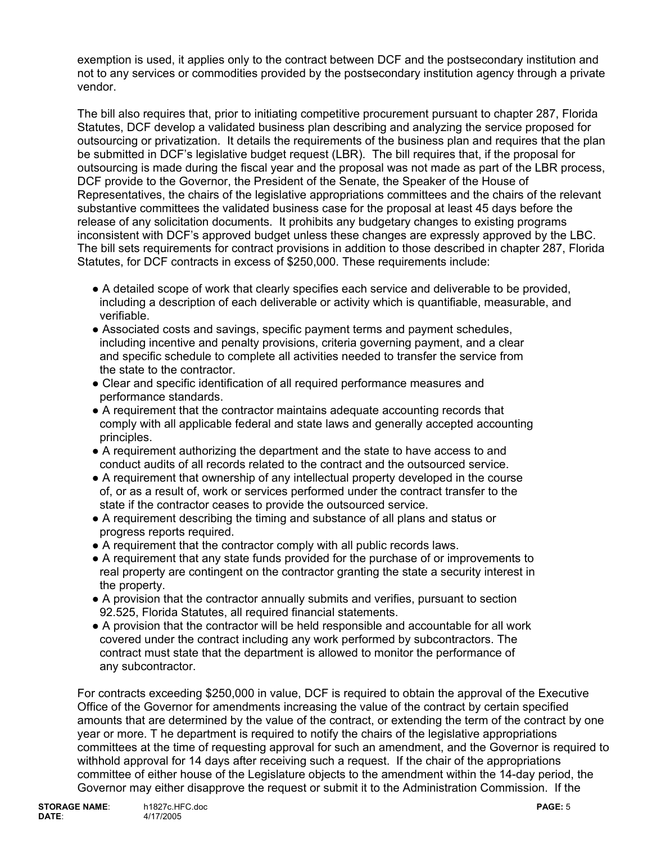exemption is used, it applies only to the contract between DCF and the postsecondary institution and not to any services or commodities provided by the postsecondary institution agency through a private vendor.

The bill also requires that, prior to initiating competitive procurement pursuant to chapter 287, Florida Statutes, DCF develop a validated business plan describing and analyzing the service proposed for outsourcing or privatization. It details the requirements of the business plan and requires that the plan be submitted in DCF's legislative budget request (LBR). The bill requires that, if the proposal for outsourcing is made during the fiscal year and the proposal was not made as part of the LBR process, DCF provide to the Governor, the President of the Senate, the Speaker of the House of Representatives, the chairs of the legislative appropriations committees and the chairs of the relevant substantive committees the validated business case for the proposal at least 45 days before the release of any solicitation documents. It prohibits any budgetary changes to existing programs inconsistent with DCF's approved budget unless these changes are expressly approved by the LBC. The bill sets requirements for contract provisions in addition to those described in chapter 287, Florida Statutes, for DCF contracts in excess of \$250,000. These requirements include:

- A detailed scope of work that clearly specifies each service and deliverable to be provided, including a description of each deliverable or activity which is quantifiable, measurable, and verifiable.
- Associated costs and savings, specific payment terms and payment schedules, including incentive and penalty provisions, criteria governing payment, and a clear and specific schedule to complete all activities needed to transfer the service from the state to the contractor.
- Clear and specific identification of all required performance measures and performance standards.
- A requirement that the contractor maintains adequate accounting records that comply with all applicable federal and state laws and generally accepted accounting principles.
- A requirement authorizing the department and the state to have access to and conduct audits of all records related to the contract and the outsourced service.
- A requirement that ownership of any intellectual property developed in the course of, or as a result of, work or services performed under the contract transfer to the state if the contractor ceases to provide the outsourced service.
- A requirement describing the timing and substance of all plans and status or progress reports required.
- A requirement that the contractor comply with all public records laws.
- A requirement that any state funds provided for the purchase of or improvements to real property are contingent on the contractor granting the state a security interest in the property.
- A provision that the contractor annually submits and verifies, pursuant to section 92.525, Florida Statutes, all required financial statements.
- A provision that the contractor will be held responsible and accountable for all work covered under the contract including any work performed by subcontractors. The contract must state that the department is allowed to monitor the performance of any subcontractor.

For contracts exceeding \$250,000 in value, DCF is required to obtain the approval of the Executive Office of the Governor for amendments increasing the value of the contract by certain specified amounts that are determined by the value of the contract, or extending the term of the contract by one year or more. T he department is required to notify the chairs of the legislative appropriations committees at the time of requesting approval for such an amendment, and the Governor is required to withhold approval for 14 days after receiving such a request. If the chair of the appropriations committee of either house of the Legislature objects to the amendment within the 14-day period, the Governor may either disapprove the request or submit it to the Administration Commission. If the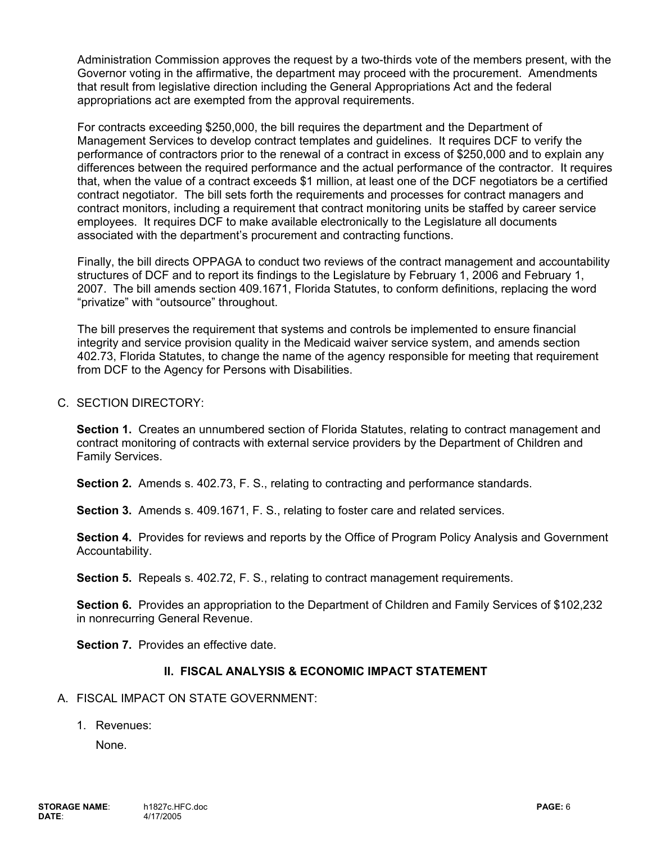Administration Commission approves the request by a two-thirds vote of the members present, with the Governor voting in the affirmative, the department may proceed with the procurement. Amendments that result from legislative direction including the General Appropriations Act and the federal appropriations act are exempted from the approval requirements.

For contracts exceeding \$250,000, the bill requires the department and the Department of Management Services to develop contract templates and guidelines. It requires DCF to verify the performance of contractors prior to the renewal of a contract in excess of \$250,000 and to explain any differences between the required performance and the actual performance of the contractor. It requires that, when the value of a contract exceeds \$1 million, at least one of the DCF negotiators be a certified contract negotiator. The bill sets forth the requirements and processes for contract managers and contract monitors, including a requirement that contract monitoring units be staffed by career service employees. It requires DCF to make available electronically to the Legislature all documents associated with the department's procurement and contracting functions.

Finally, the bill directs OPPAGA to conduct two reviews of the contract management and accountability structures of DCF and to report its findings to the Legislature by February 1, 2006 and February 1, 2007. The bill amends section 409.1671, Florida Statutes, to conform definitions, replacing the word "privatize" with "outsource" throughout.

The bill preserves the requirement that systems and controls be implemented to ensure financial integrity and service provision quality in the Medicaid waiver service system, and amends section 402.73, Florida Statutes, to change the name of the agency responsible for meeting that requirement from DCF to the Agency for Persons with Disabilities.

### C. SECTION DIRECTORY:

**Section 1.** Creates an unnumbered section of Florida Statutes, relating to contract management and contract monitoring of contracts with external service providers by the Department of Children and Family Services.

**Section 2.** Amends s. 402.73, F. S., relating to contracting and performance standards.

 **Section 3.** Amends s. 409.1671, F. S., relating to foster care and related services.

**Section 4.** Provides for reviews and reports by the Office of Program Policy Analysis and Government Accountability.

**Section 5.** Repeals s. 402.72, F. S., relating to contract management requirements.

**Section 6.** Provides an appropriation to the Department of Children and Family Services of \$102,232 in nonrecurring General Revenue.

**Section 7.** Provides an effective date.

### **II. FISCAL ANALYSIS & ECONOMIC IMPACT STATEMENT**

### A. FISCAL IMPACT ON STATE GOVERNMENT:

1. Revenues:

None.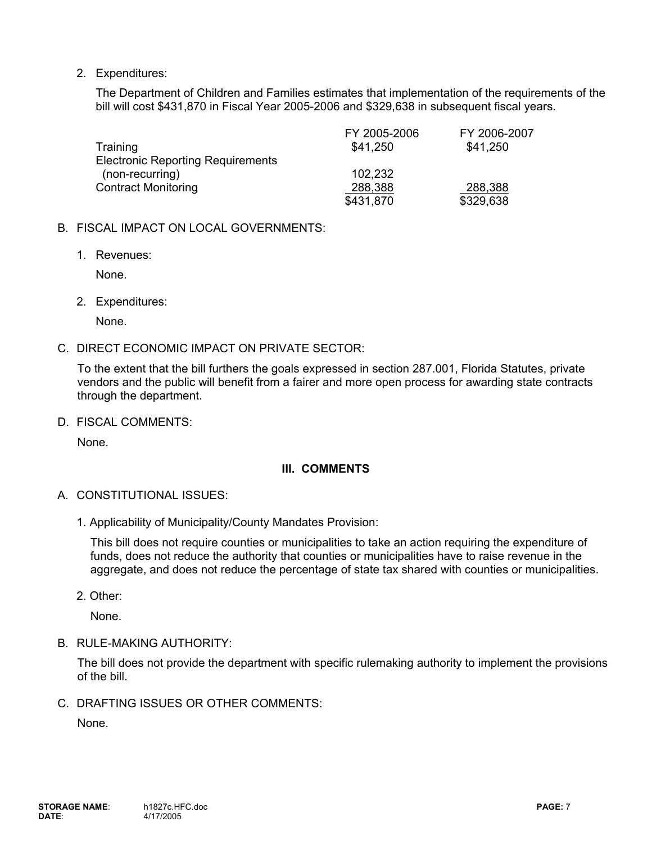2. Expenditures:

The Department of Children and Families estimates that implementation of the requirements of the bill will cost \$431,870 in Fiscal Year 2005-2006 and \$329,638 in subsequent fiscal years.

|                                          | FY 2005-2006 | FY 2006-2007 |
|------------------------------------------|--------------|--------------|
| Training                                 | \$41,250     | \$41,250     |
| <b>Electronic Reporting Requirements</b> |              |              |
| (non-recurring)                          | 102,232      |              |
| <b>Contract Monitoring</b>               | 288,388      | 288,388      |
|                                          | \$431,870    | \$329,638    |

#### B. FISCAL IMPACT ON LOCAL GOVERNMENTS:

1. Revenues:

None.

2. Expenditures:

None.

#### C. DIRECT ECONOMIC IMPACT ON PRIVATE SECTOR:

To the extent that the bill furthers the goals expressed in section 287.001, Florida Statutes, private vendors and the public will benefit from a fairer and more open process for awarding state contracts through the department.

D. FISCAL COMMENTS:

None.

### **III. COMMENTS**

- A. CONSTITUTIONAL ISSUES:
	- 1. Applicability of Municipality/County Mandates Provision:

This bill does not require counties or municipalities to take an action requiring the expenditure of funds, does not reduce the authority that counties or municipalities have to raise revenue in the aggregate, and does not reduce the percentage of state tax shared with counties or municipalities.

2. Other:

None.

B. RULE-MAKING AUTHORITY:

The bill does not provide the department with specific rulemaking authority to implement the provisions of the bill.

C. DRAFTING ISSUES OR OTHER COMMENTS:

None.